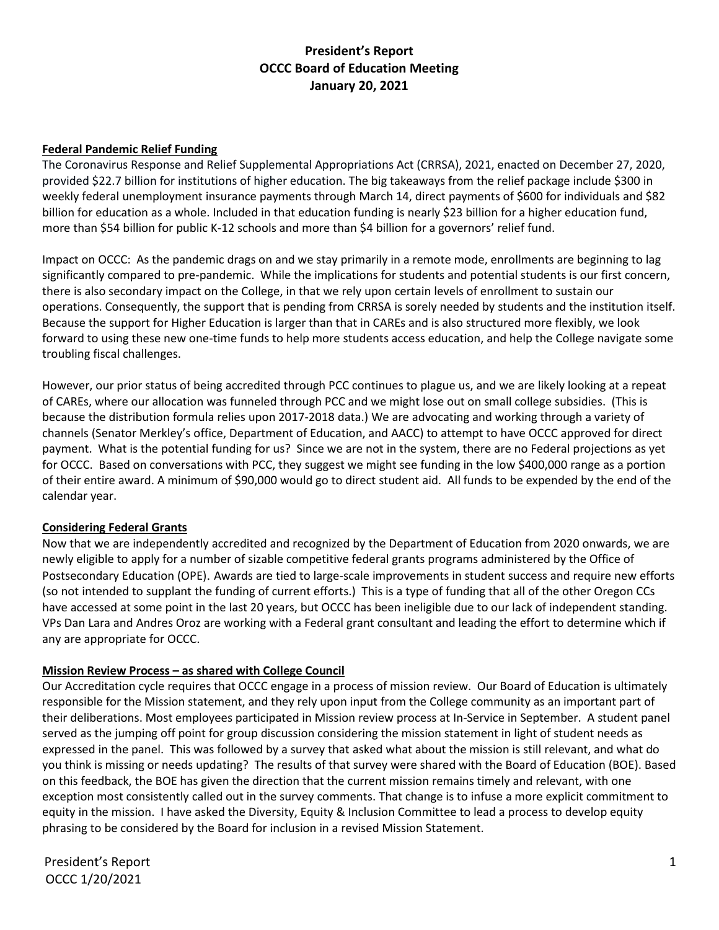## **President's Report OCCC Board of Education Meeting January 20, 2021**

#### **Federal Pandemic Relief Funding**

The Coronavirus Response and Relief Supplemental Appropriations Act (CRRSA), 2021, enacted on December 27, 2020, provided \$22.7 billion for institutions of higher education. The big takeaways from the relief package include \$300 in weekly federal unemployment insurance payments through March 14, direct payments of \$600 for individuals and \$82 billion for education as a whole. Included in that education funding is nearly \$23 billion for a higher education fund, more than \$54 billion for public K-12 schools and more than \$4 billion for a governors' relief fund.

Impact on OCCC: As the pandemic drags on and we stay primarily in a remote mode, enrollments are beginning to lag significantly compared to pre-pandemic. While the implications for students and potential students is our first concern, there is also secondary impact on the College, in that we rely upon certain levels of enrollment to sustain our operations. Consequently, the support that is pending from CRRSA is sorely needed by students and the institution itself. Because the support for Higher Education is larger than that in CAREs and is also structured more flexibly, we look forward to using these new one-time funds to help more students access education, and help the College navigate some troubling fiscal challenges.

However, our prior status of being accredited through PCC continues to plague us, and we are likely looking at a repeat of CAREs, where our allocation was funneled through PCC and we might lose out on small college subsidies. (This is because the distribution formula relies upon 2017-2018 data.) We are advocating and working through a variety of channels (Senator Merkley's office, Department of Education, and AACC) to attempt to have OCCC approved for direct payment. What is the potential funding for us? Since we are not in the system, there are no Federal projections as yet for OCCC. Based on conversations with PCC, they suggest we might see funding in the low \$400,000 range as a portion of their entire award. A minimum of \$90,000 would go to direct student aid. All funds to be expended by the end of the calendar year.

#### **Considering Federal Grants**

Now that we are independently accredited and recognized by the Department of Education from 2020 onwards, we are newly eligible to apply for a number of sizable competitive federal grants programs administered by the Office of Postsecondary Education (OPE). Awards are tied to large-scale improvements in student success and require new efforts (so not intended to supplant the funding of current efforts.) This is a type of funding that all of the other Oregon CCs have accessed at some point in the last 20 years, but OCCC has been ineligible due to our lack of independent standing. VPs Dan Lara and Andres Oroz are working with a Federal grant consultant and leading the effort to determine which if any are appropriate for OCCC.

#### **Mission Review Process – as shared with College Council**

Our Accreditation cycle requires that OCCC engage in a process of mission review. Our Board of Education is ultimately responsible for the Mission statement, and they rely upon input from the College community as an important part of their deliberations. Most employees participated in Mission review process at In-Service in September. A student panel served as the jumping off point for group discussion considering the mission statement in light of student needs as expressed in the panel. This was followed by a survey that asked what about the mission is still relevant, and what do you think is missing or needs updating? The results of that survey were shared with the Board of Education (BOE). Based on this feedback, the BOE has given the direction that the current mission remains timely and relevant, with one exception most consistently called out in the survey comments. That change is to infuse a more explicit commitment to equity in the mission. I have asked the Diversity, Equity & Inclusion Committee to lead a process to develop equity phrasing to be considered by the Board for inclusion in a revised Mission Statement.

President's Report 1 OCCC 1/20/2021